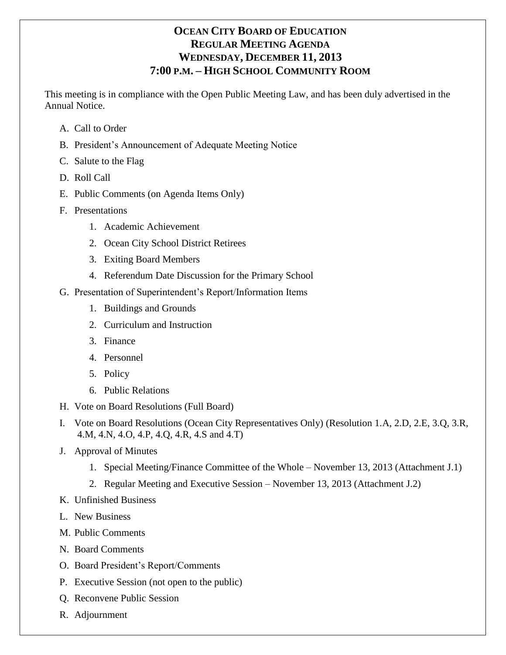# **OCEAN CITY BOARD OF EDUCATION REGULAR MEETING AGENDA WEDNESDAY, DECEMBER 11, 2013 7:00 P.M. – HIGH SCHOOL COMMUNITY ROOM**

This meeting is in compliance with the Open Public Meeting Law, and has been duly advertised in the Annual Notice.

- A. Call to Order
- B. President's Announcement of Adequate Meeting Notice
- C. Salute to the Flag
- D. Roll Call
- E. Public Comments (on Agenda Items Only)
- F. Presentations
	- 1. Academic Achievement
	- 2. Ocean City School District Retirees
	- 3. Exiting Board Members
	- 4. Referendum Date Discussion for the Primary School
- G. Presentation of Superintendent's Report/Information Items
	- 1. Buildings and Grounds
	- 2. Curriculum and Instruction
	- 3. Finance
	- 4. Personnel
	- 5. Policy
	- 6. Public Relations
- H. Vote on Board Resolutions (Full Board)
- I. Vote on Board Resolutions (Ocean City Representatives Only) (Resolution 1.A, 2.D, 2.E, 3.Q, 3.R, 4.M, 4.N, 4.O, 4.P, 4.Q, 4.R, 4.S and 4.T)
- J. Approval of Minutes
	- 1. Special Meeting/Finance Committee of the Whole November 13, 2013 (Attachment J.1)
	- 2. Regular Meeting and Executive Session November 13, 2013 (Attachment J.2)
- K. Unfinished Business
- L. New Business
- M. Public Comments
- N. Board Comments
- O. Board President's Report/Comments
- P. Executive Session (not open to the public)
- Q. Reconvene Public Session
- R. Adjournment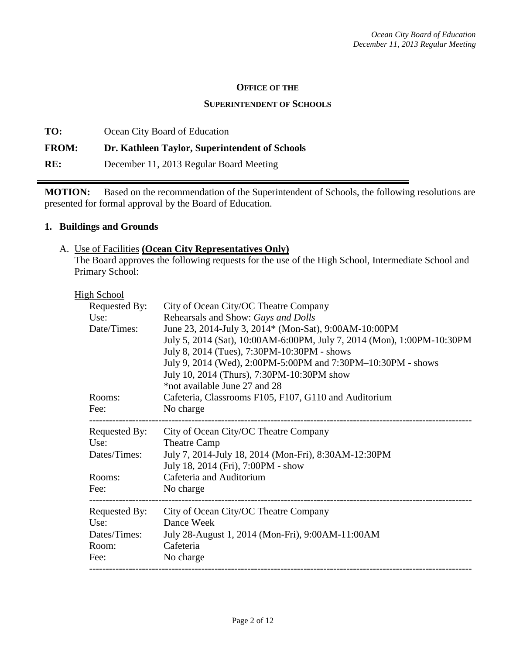### **OFFICE OF THE**

### **SUPERINTENDENT OF SCHOOLS**

**TO:** Ocean City Board of Education **FROM: Dr. Kathleen Taylor, Superintendent of Schools RE:** December 11, 2013 Regular Board Meeting

**MOTION:** Based on the recommendation of the Superintendent of Schools, the following resolutions are presented for formal approval by the Board of Education.

### **1. Buildings and Grounds**

### A. Use of Facilities **(Ocean City Representatives Only)**

The Board approves the following requests for the use of the High School, Intermediate School and Primary School:

### **High School**

| <b>Requested By:</b> | City of Ocean City/OC Theatre Company                                  |  |  |  |
|----------------------|------------------------------------------------------------------------|--|--|--|
| Use:                 | Rehearsals and Show: Guys and Dolls                                    |  |  |  |
| Date/Times:          | June 23, 2014-July 3, 2014* (Mon-Sat), 9:00AM-10:00PM                  |  |  |  |
|                      | July 5, 2014 (Sat), 10:00AM-6:00PM, July 7, 2014 (Mon), 1:00PM-10:30PM |  |  |  |
|                      | July 8, 2014 (Tues), 7:30PM-10:30PM - shows                            |  |  |  |
|                      | July 9, 2014 (Wed), 2:00PM-5:00PM and 7:30PM-10:30PM - shows           |  |  |  |
|                      | July 10, 2014 (Thurs), 7:30PM-10:30PM show                             |  |  |  |
|                      | *not available June 27 and 28                                          |  |  |  |
| Rooms:               | Cafeteria, Classrooms F105, F107, G110 and Auditorium                  |  |  |  |
| Fee:                 | No charge                                                              |  |  |  |
| Requested By:        | City of Ocean City/OC Theatre Company                                  |  |  |  |
| Use:                 | <b>Theatre Camp</b>                                                    |  |  |  |
| Dates/Times:         | July 7, 2014-July 18, 2014 (Mon-Fri), 8:30AM-12:30PM                   |  |  |  |
|                      | July 18, 2014 (Fri), 7:00PM - show                                     |  |  |  |
| Rooms:               | Cafeteria and Auditorium                                               |  |  |  |
| Fee:                 | No charge                                                              |  |  |  |
| Requested By:        | City of Ocean City/OC Theatre Company                                  |  |  |  |
| Use:                 | Dance Week                                                             |  |  |  |
| Dates/Times:         | July 28-August 1, 2014 (Mon-Fri), 9:00AM-11:00AM                       |  |  |  |
| Room:                | Cafeteria                                                              |  |  |  |
| Fee:                 | No charge                                                              |  |  |  |
|                      |                                                                        |  |  |  |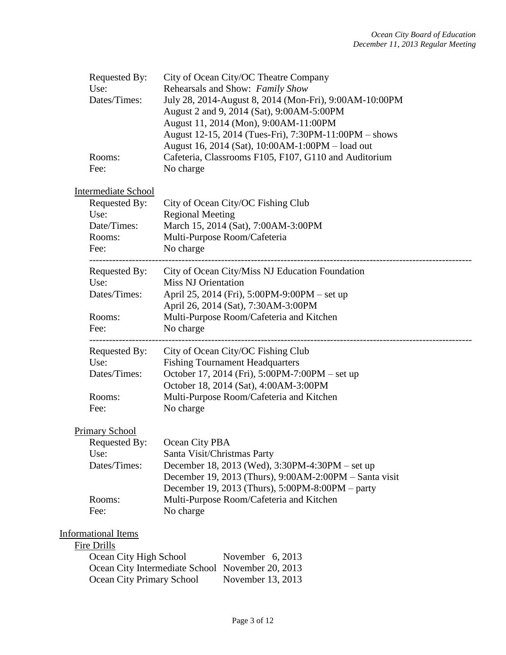| Requested By:<br>Use:<br>Dates/Times:<br>Rooms:<br>Fee: | City of Ocean City/OC Theatre Company<br>Rehearsals and Show: Family Show<br>July 28, 2014-August 8, 2014 (Mon-Fri), 9:00AM-10:00PM<br>August 2 and 9, 2014 (Sat), 9:00AM-5:00PM<br>August 11, 2014 (Mon), 9:00AM-11:00PM<br>August 12-15, 2014 (Tues-Fri), 7:30PM-11:00PM – shows<br>August 16, 2014 (Sat), 10:00AM-1:00PM - load out<br>Cafeteria, Classrooms F105, F107, G110 and Auditorium<br>No charge |
|---------------------------------------------------------|--------------------------------------------------------------------------------------------------------------------------------------------------------------------------------------------------------------------------------------------------------------------------------------------------------------------------------------------------------------------------------------------------------------|
| <b>Intermediate School</b>                              |                                                                                                                                                                                                                                                                                                                                                                                                              |
| Requested By:<br>Use:                                   | City of Ocean City/OC Fishing Club<br><b>Regional Meeting</b>                                                                                                                                                                                                                                                                                                                                                |
| Date/Times:                                             | March 15, 2014 (Sat), 7:00AM-3:00PM                                                                                                                                                                                                                                                                                                                                                                          |
| Rooms:                                                  | Multi-Purpose Room/Cafeteria                                                                                                                                                                                                                                                                                                                                                                                 |
| Fee:                                                    | No charge                                                                                                                                                                                                                                                                                                                                                                                                    |
| Requested By:                                           | City of Ocean City/Miss NJ Education Foundation                                                                                                                                                                                                                                                                                                                                                              |
| Use:<br>Dates/Times:                                    | <b>Miss NJ Orientation</b>                                                                                                                                                                                                                                                                                                                                                                                   |
|                                                         | April 25, 2014 (Fri), 5:00PM-9:00PM – set up<br>April 26, 2014 (Sat), 7:30AM-3:00PM                                                                                                                                                                                                                                                                                                                          |
| Rooms:                                                  | Multi-Purpose Room/Cafeteria and Kitchen                                                                                                                                                                                                                                                                                                                                                                     |
| Fee:                                                    | No charge                                                                                                                                                                                                                                                                                                                                                                                                    |
| Requested By:                                           | City of Ocean City/OC Fishing Club                                                                                                                                                                                                                                                                                                                                                                           |
| Use:                                                    | <b>Fishing Tournament Headquarters</b>                                                                                                                                                                                                                                                                                                                                                                       |
| Dates/Times:                                            | October 17, 2014 (Fri), 5:00PM-7:00PM – set up                                                                                                                                                                                                                                                                                                                                                               |
| Rooms:                                                  | October 18, 2014 (Sat), 4:00AM-3:00PM<br>Multi-Purpose Room/Cafeteria and Kitchen                                                                                                                                                                                                                                                                                                                            |
| Fee:                                                    | No charge                                                                                                                                                                                                                                                                                                                                                                                                    |
| <b>Primary School</b>                                   |                                                                                                                                                                                                                                                                                                                                                                                                              |
| Requested By:                                           | Ocean City PBA                                                                                                                                                                                                                                                                                                                                                                                               |
| Use:                                                    | Santa Visit/Christmas Party                                                                                                                                                                                                                                                                                                                                                                                  |
| Dates/Times:                                            | December 18, 2013 (Wed), 3:30PM-4:30PM – set up                                                                                                                                                                                                                                                                                                                                                              |
|                                                         | December 19, 2013 (Thurs), 9:00AM-2:00PM - Santa visit<br>December 19, 2013 (Thurs), $5:00PM - 8:00PM -$ party                                                                                                                                                                                                                                                                                               |
| Rooms:                                                  | Multi-Purpose Room/Cafeteria and Kitchen                                                                                                                                                                                                                                                                                                                                                                     |
| Fee:                                                    | No charge                                                                                                                                                                                                                                                                                                                                                                                                    |
| <b>Informational Items</b>                              |                                                                                                                                                                                                                                                                                                                                                                                                              |
| Fire Drills                                             |                                                                                                                                                                                                                                                                                                                                                                                                              |
| Ocean City High School                                  | November 6, 2013                                                                                                                                                                                                                                                                                                                                                                                             |
|                                                         | Ocean City Intermediate School November 20, 2013                                                                                                                                                                                                                                                                                                                                                             |

Ocean City Primary School November 13, 2013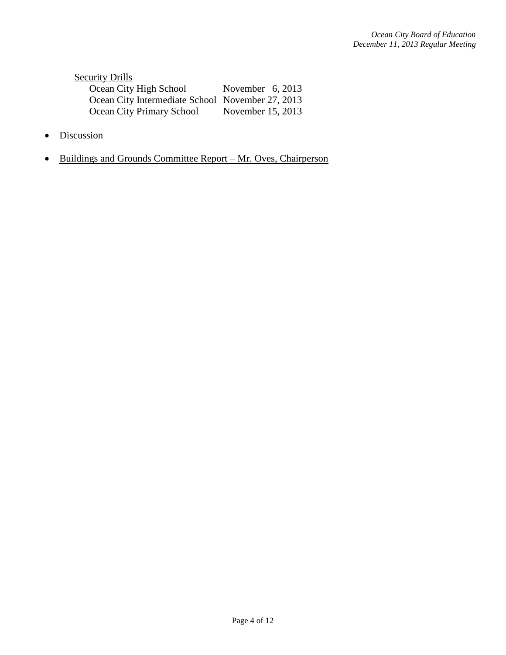| <b>Security Drills</b>                           |                    |
|--------------------------------------------------|--------------------|
| Ocean City High School                           | November $6, 2013$ |
| Ocean City Intermediate School November 27, 2013 |                    |
| <b>Ocean City Primary School</b>                 | November 15, 2013  |

- Discussion
- Buildings and Grounds Committee Report Mr. Oves, Chairperson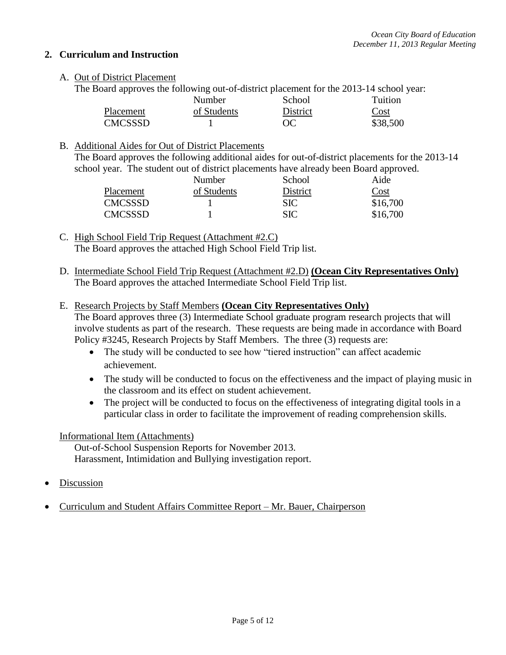## **2. Curriculum and Instruction**

### A. Out of District Placement

The Board approves the following out-of-district placement for the 2013-14 school year:

|                | <b>Number</b> | School   | Tuition  |
|----------------|---------------|----------|----------|
| Placement      | of Students   | District | Cost     |
| <b>CMCSSSD</b> |               | OC       | \$38,500 |

### B. Additional Aides for Out of District Placements

The Board approves the following additional aides for out-of-district placements for the 2013-14 school year. The student out of district placements have already been Board approved.

|                | Number      | School     | Aide     |
|----------------|-------------|------------|----------|
| Placement      | of Students | District   | Cost     |
| <b>CMCSSSD</b> |             | <b>SIC</b> | \$16,700 |
| <b>CMCSSSD</b> |             | SIC        | \$16,700 |

C. High School Field Trip Request (Attachment #2.C) The Board approves the attached High School Field Trip list.

D. Intermediate School Field Trip Request (Attachment #2.D) **(Ocean City Representatives Only)** The Board approves the attached Intermediate School Field Trip list.

### E. Research Projects by Staff Members **(Ocean City Representatives Only)**

The Board approves three (3) Intermediate School graduate program research projects that will involve students as part of the research. These requests are being made in accordance with Board Policy #3245, Research Projects by Staff Members. The three (3) requests are:

- The study will be conducted to see how "tiered instruction" can affect academic achievement.
- The study will be conducted to focus on the effectiveness and the impact of playing music in the classroom and its effect on student achievement.
- The project will be conducted to focus on the effectiveness of integrating digital tools in a particular class in order to facilitate the improvement of reading comprehension skills.

### Informational Item (Attachments)

Out-of-School Suspension Reports for November 2013. Harassment, Intimidation and Bullying investigation report.

- Discussion
- Curriculum and Student Affairs Committee Report Mr. Bauer, Chairperson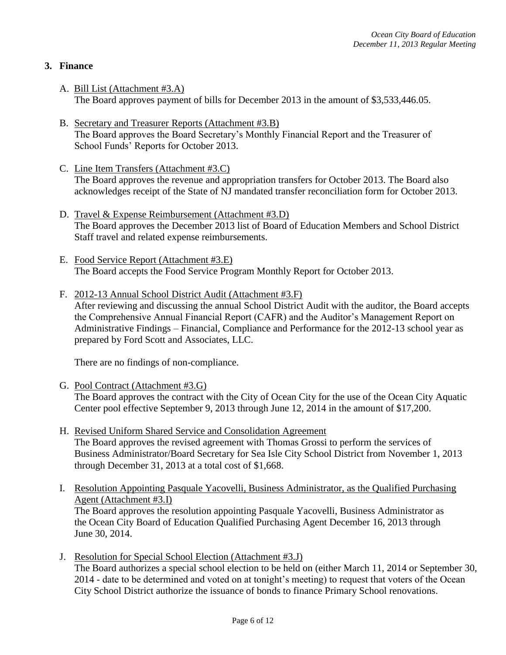## **3. Finance**

- A. Bill List (Attachment #3.A) The Board approves payment of bills for December 2013 in the amount of \$3,533,446.05.
- B. Secretary and Treasurer Reports (Attachment #3.B) The Board approves the Board Secretary's Monthly Financial Report and the Treasurer of School Funds' Reports for October 2013.
- C. Line Item Transfers (Attachment #3.C) The Board approves the revenue and appropriation transfers for October 2013. The Board also acknowledges receipt of the State of NJ mandated transfer reconciliation form for October 2013.
- D. Travel & Expense Reimbursement (Attachment #3.D) The Board approves the December 2013 list of Board of Education Members and School District Staff travel and related expense reimbursements.
- E. Food Service Report (Attachment #3.E) The Board accepts the Food Service Program Monthly Report for October 2013.
- F. 2012-13 Annual School District Audit (Attachment #3.F)

After reviewing and discussing the annual School District Audit with the auditor, the Board accepts the Comprehensive Annual Financial Report (CAFR) and the Auditor's Management Report on Administrative Findings – Financial, Compliance and Performance for the 2012-13 school year as prepared by Ford Scott and Associates, LLC.

There are no findings of non-compliance.

G. Pool Contract (Attachment #3.G)

The Board approves the contract with the City of Ocean City for the use of the Ocean City Aquatic Center pool effective September 9, 2013 through June 12, 2014 in the amount of \$17,200.

- H. Revised Uniform Shared Service and Consolidation Agreement The Board approves the revised agreement with Thomas Grossi to perform the services of Business Administrator/Board Secretary for Sea Isle City School District from November 1, 2013 through December 31, 2013 at a total cost of \$1,668.
- I. Resolution Appointing Pasquale Yacovelli, Business Administrator, as the Qualified Purchasing Agent (Attachment #3.I) The Board approves the resolution appointing Pasquale Yacovelli, Business Administrator as the Ocean City Board of Education Qualified Purchasing Agent December 16, 2013 through June 30, 2014.
- J. Resolution for Special School Election (Attachment #3.J) The Board authorizes a special school election to be held on (either March 11, 2014 or September 30, 2014 - date to be determined and voted on at tonight's meeting) to request that voters of the Ocean City School District authorize the issuance of bonds to finance Primary School renovations.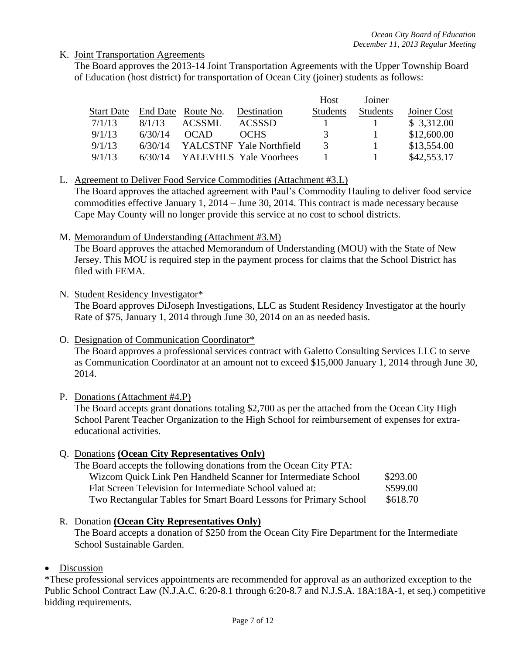## K. Joint Transportation Agreements

The Board approves the 2013-14 Joint Transportation Agreements with the Upper Township Board of Education (host district) for transportation of Ocean City (joiner) students as follows:

|                   |         |                    |                          | <b>Host</b>     | Joiner   |             |
|-------------------|---------|--------------------|--------------------------|-----------------|----------|-------------|
| <b>Start Date</b> |         | End Date Route No. | <b>Destination</b>       | <b>Students</b> | Students | Joiner Cost |
| 7/1/13            | 8/1/13  | ACSSML             | <b>ACSSSD</b>            |                 |          | \$3,312.00  |
| 9/1/13            | 6/30/14 | <b>OCAD</b>        | <b>OCHS</b>              | 3               |          | \$12,600.00 |
| 9/1/13            | 6/30/14 |                    | YALCSTNF Yale Northfield | $\mathcal{R}$   |          | \$13,554.00 |
| 9/1/13            | 6/30/14 |                    | YALEVHLS Yale Voorhees   |                 |          | \$42,553.17 |

### L. Agreement to Deliver Food Service Commodities (Attachment #3.L)

The Board approves the attached agreement with Paul's Commodity Hauling to deliver food service commodities effective January 1, 2014 – June 30, 2014. This contract is made necessary because Cape May County will no longer provide this service at no cost to school districts.

M. Memorandum of Understanding (Attachment #3.M)

The Board approves the attached Memorandum of Understanding (MOU) with the State of New Jersey. This MOU is required step in the payment process for claims that the School District has filed with FEMA.

N. Student Residency Investigator\*

The Board approves DiJoseph Investigations, LLC as Student Residency Investigator at the hourly Rate of \$75, January 1, 2014 through June 30, 2014 on an as needed basis.

O. Designation of Communication Coordinator\*

The Board approves a professional services contract with Galetto Consulting Services LLC to serve as Communication Coordinator at an amount not to exceed \$15,000 January 1, 2014 through June 30, 2014.

### P. Donations (Attachment #4.P)

The Board accepts grant donations totaling \$2,700 as per the attached from the Ocean City High School Parent Teacher Organization to the High School for reimbursement of expenses for extraeducational activities.

### Q. Donations **(Ocean City Representatives Only)**

The Board accepts the following donations from the Ocean City PTA: Wizcom Quick Link Pen Handheld Scanner for Intermediate School \$293.00 Flat Screen Television for Intermediate School valued at: \$599.00 Two Rectangular Tables for Smart Board Lessons for Primary School \$618.70

### R. Donation **(Ocean City Representatives Only)**

The Board accepts a donation of \$250 from the Ocean City Fire Department for the Intermediate School Sustainable Garden.

### • Discussion

\*These professional services appointments are recommended for approval as an authorized exception to the Public School Contract Law (N.J.A.C. 6:20-8.1 through 6:20-8.7 and N.J.S.A. 18A:18A-1, et seq.) competitive bidding requirements.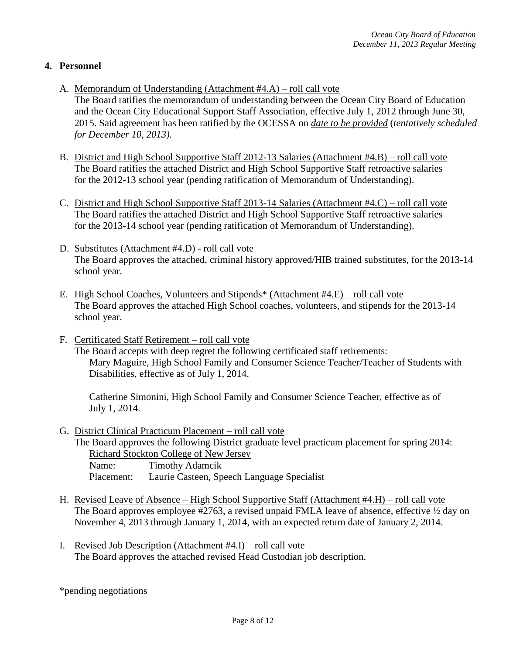## **4. Personnel**

- A. Memorandum of Understanding (Attachment #4.A) roll call vote
	- The Board ratifies the memorandum of understanding between the Ocean City Board of Education and the Ocean City Educational Support Staff Association, effective July 1, 2012 through June 30, 2015. Said agreement has been ratified by the OCESSA on *date to be provided* (*tentatively scheduled for December 10, 2013).*
- B. District and High School Supportive Staff 2012-13 Salaries (Attachment #4.B) roll call vote The Board ratifies the attached District and High School Supportive Staff retroactive salaries for the 2012-13 school year (pending ratification of Memorandum of Understanding).
- C. District and High School Supportive Staff 2013-14 Salaries (Attachment #4.C) roll call vote The Board ratifies the attached District and High School Supportive Staff retroactive salaries for the 2013-14 school year (pending ratification of Memorandum of Understanding).
- D. Substitutes (Attachment #4.D) roll call vote The Board approves the attached, criminal history approved/HIB trained substitutes, for the 2013-14 school year.
- E. High School Coaches, Volunteers and Stipends\* (Attachment #4.E) roll call vote The Board approves the attached High School coaches, volunteers, and stipends for the 2013-14 school year.
- F. Certificated Staff Retirement roll call vote

The Board accepts with deep regret the following certificated staff retirements: Mary Maguire, High School Family and Consumer Science Teacher/Teacher of Students with Disabilities, effective as of July 1, 2014.

Catherine Simonini, High School Family and Consumer Science Teacher, effective as of July 1, 2014.

G. District Clinical Practicum Placement – roll call vote

The Board approves the following District graduate level practicum placement for spring 2014: Richard Stockton College of New Jersey Name: Timothy Adamcik Placement: Laurie Casteen, Speech Language Specialist

- H. Revised Leave of Absence High School Supportive Staff (Attachment #4.H) roll call vote The Board approves employee #2763, a revised unpaid FMLA leave of absence, effective  $\frac{1}{2}$  day on November 4, 2013 through January 1, 2014, with an expected return date of January 2, 2014.
- I. Revised Job Description (Attachment #4.I) roll call vote The Board approves the attached revised Head Custodian job description.

\*pending negotiations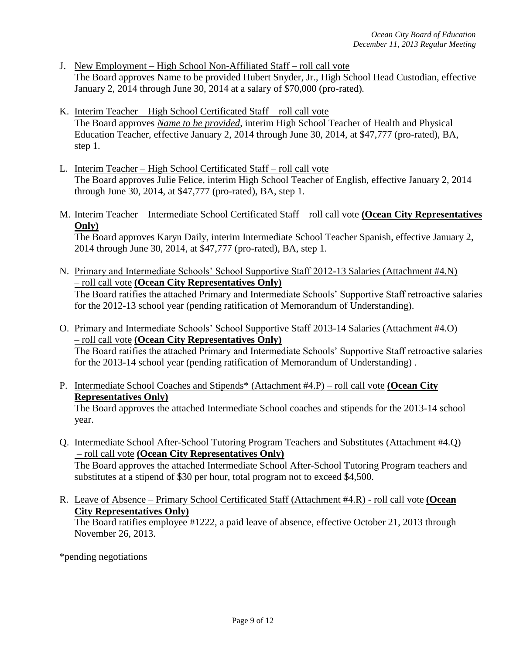- J. New Employment High School Non-Affiliated Staff roll call vote The Board approves Name to be provided Hubert Snyder, Jr., High School Head Custodian, effective January 2, 2014 through June 30, 2014 at a salary of \$70,000 (pro-rated)*.*
- K. Interim Teacher High School Certificated Staff roll call vote The Board approves *Name to be provided*, interim High School Teacher of Health and Physical Education Teacher, effective January 2, 2014 through June 30, 2014, at \$47,777 (pro-rated), BA, step 1.
- L. Interim Teacher High School Certificated Staff roll call vote The Board approves Julie Felice, interim High School Teacher of English, effective January 2, 2014 through June 30, 2014, at \$47,777 (pro-rated), BA, step 1.
- M. Interim Teacher Intermediate School Certificated Staff roll call vote **(Ocean City Representatives Only)**

The Board approves Karyn Daily, interim Intermediate School Teacher Spanish, effective January 2, 2014 through June 30, 2014, at \$47,777 (pro-rated), BA, step 1.

- N. Primary and Intermediate Schools' School Supportive Staff 2012-13 Salaries (Attachment #4.N) – roll call vote **(Ocean City Representatives Only)** The Board ratifies the attached Primary and Intermediate Schools' Supportive Staff retroactive salaries for the 2012-13 school year (pending ratification of Memorandum of Understanding).
- O. Primary and Intermediate Schools' School Supportive Staff 2013-14 Salaries (Attachment #4.O) – roll call vote **(Ocean City Representatives Only)** The Board ratifies the attached Primary and Intermediate Schools' Supportive Staff retroactive salaries for the 2013-14 school year (pending ratification of Memorandum of Understanding) .
- P. Intermediate School Coaches and Stipends\* (Attachment #4.P) roll call vote **(Ocean City Representatives Only)**

The Board approves the attached Intermediate School coaches and stipends for the 2013-14 school year.

- Q. Intermediate School After-School Tutoring Program Teachers and Substitutes (Attachment #4.Q) – roll call vote **(Ocean City Representatives Only)** The Board approves the attached Intermediate School After-School Tutoring Program teachers and substitutes at a stipend of \$30 per hour, total program not to exceed \$4,500.
- R. Leave of Absence Primary School Certificated Staff (Attachment #4.R) roll call vote **(Ocean City Representatives Only)**

The Board ratifies employee #1222, a paid leave of absence, effective October 21, 2013 through November 26, 2013.

\*pending negotiations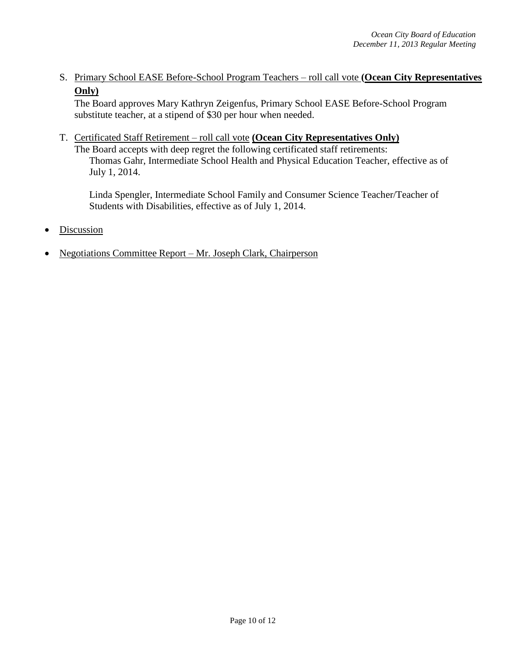S. Primary School EASE Before-School Program Teachers – roll call vote **(Ocean City Representatives Only)**

The Board approves Mary Kathryn Zeigenfus, Primary School EASE Before-School Program substitute teacher, at a stipend of \$30 per hour when needed.

T. Certificated Staff Retirement – roll call vote **(Ocean City Representatives Only)**

The Board accepts with deep regret the following certificated staff retirements: Thomas Gahr, Intermediate School Health and Physical Education Teacher, effective as of July 1, 2014.

Linda Spengler, Intermediate School Family and Consumer Science Teacher/Teacher of Students with Disabilities, effective as of July 1, 2014.

- Discussion
- Negotiations Committee Report Mr. Joseph Clark, Chairperson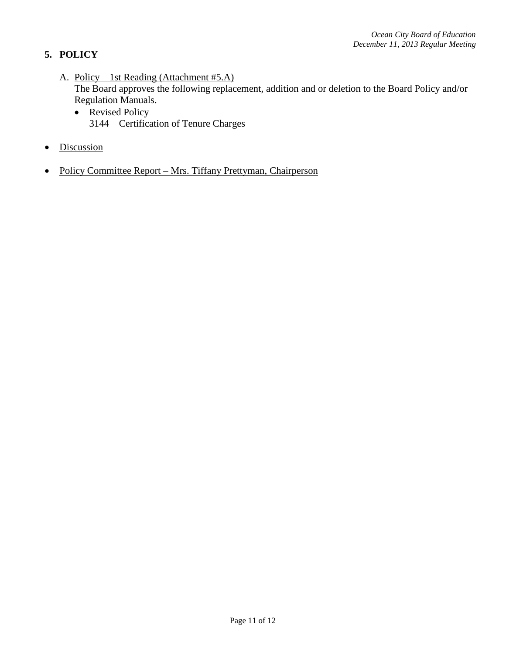# **5. POLICY**

- A. Policy 1st Reading (Attachment #5.A) The Board approves the following replacement, addition and or deletion to the Board Policy and/or Regulation Manuals.
	- Revised Policy 3144 Certification of Tenure Charges
- Discussion
- Policy Committee Report Mrs. Tiffany Prettyman, Chairperson